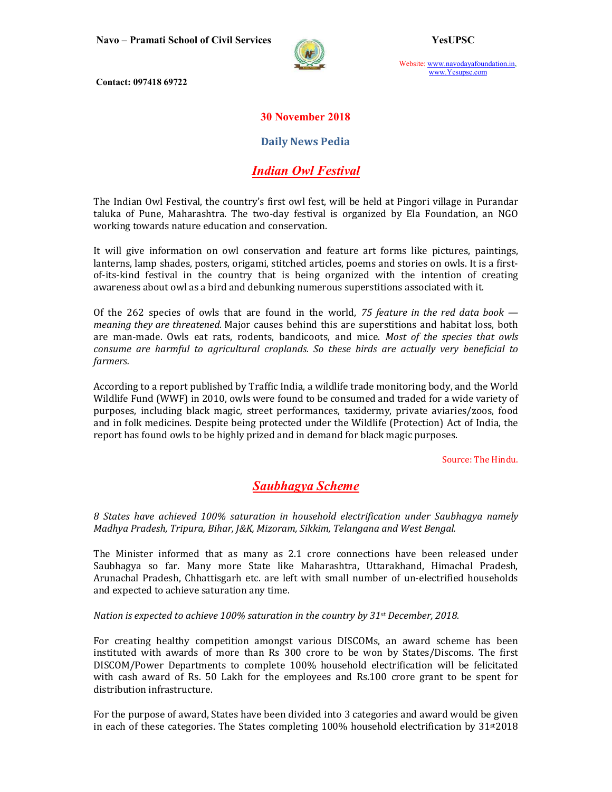

Website: www.navodayafoundation.in, www.Yesupsc.com

Contact: 097418 69722

### 30 November 2018

#### Daily News Pedia

## Indian Owl Festival

The Indian Owl Festival, the country's first owl fest, will be held at Pingori village in Purandar taluka of Pune, Maharashtra. The two-day festival is organized by Ela Foundation, an NGO working towards nature education and conservation.

It will give information on owl conservation and feature art forms like pictures, paintings, lanterns, lamp shades, posters, origami, stitched articles, poems and stories on owls. It is a firstof-its-kind festival in the country that is being organized with the intention of creating awareness about owl as a bird and debunking numerous superstitions associated with it.

Of the 262 species of owls that are found in the world, 75 feature in the red data book  $$ meaning they are threatened. Major causes behind this are superstitions and habitat loss, both are man-made. Owls eat rats, rodents, bandicoots, and mice. Most of the species that owls consume are harmful to agricultural croplands. So these birds are actually very beneficial to farmers.

According to a report published by Traffic India, a wildlife trade monitoring body, and the World Wildlife Fund (WWF) in 2010, owls were found to be consumed and traded for a wide variety of purposes, including black magic, street performances, taxidermy, private aviaries/zoos, food and in folk medicines. Despite being protected under the Wildlife (Protection) Act of India, the report has found owls to be highly prized and in demand for black magic purposes.

Source: The Hindu.

### Saubhagya Scheme

8 States have achieved 100% saturation in household electrification under Saubhagya namely Madhya Pradesh, Tripura, Bihar, J&K, Mizoram, Sikkim, Telangana and West Bengal.

The Minister informed that as many as 2.1 crore connections have been released under Saubhagya so far. Many more State like Maharashtra, Uttarakhand, Himachal Pradesh, Arunachal Pradesh, Chhattisgarh etc. are left with small number of un-electrified households and expected to achieve saturation any time.

Nation is expected to achieve 100% saturation in the country by 31st December, 2018.

For creating healthy competition amongst various DISCOMs, an award scheme has been instituted with awards of more than Rs 300 crore to be won by States/Discoms. The first DISCOM/Power Departments to complete 100% household electrification will be felicitated with cash award of Rs. 50 Lakh for the employees and Rs.100 crore grant to be spent for distribution infrastructure.

For the purpose of award, States have been divided into 3 categories and award would be given in each of these categories. The States completing  $100\%$  household electrification by  $31<sup>st</sup>2018$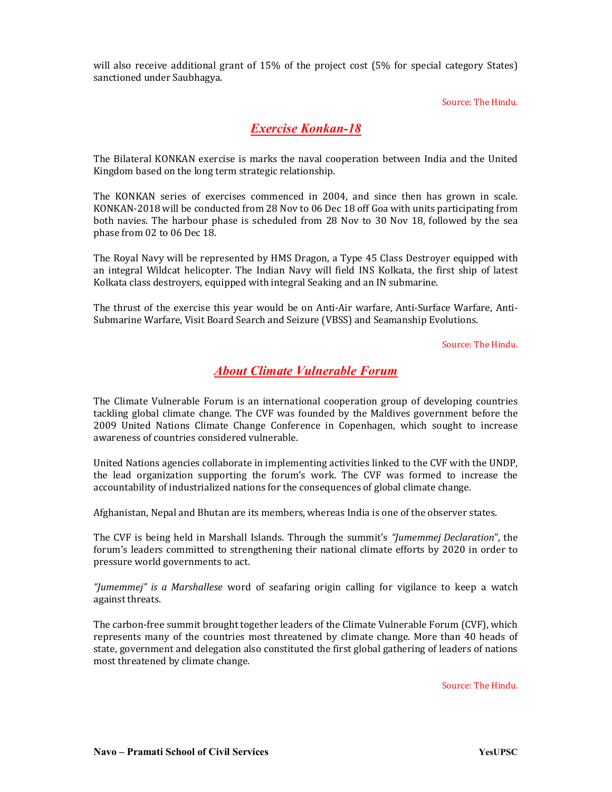will also receive additional grant of 15% of the project cost (5% for special category States) sanctioned under Saubhagya.

Source: The Hindu.

## Exercise Konkan-18

The Bilateral KONKAN exercise is marks the naval cooperation between India and the United Kingdom based on the long term strategic relationship.

The KONKAN series of exercises commenced in 2004, and since then has grown in scale. KONKAN-2018 will be conducted from 28 Nov to 06 Dec 18 off Goa with units participating from both navies. The harbour phase is scheduled from 28 Nov to 30 Nov 18, followed by the sea phase from 02 to 06 Dec 18.

The Royal Navy will be represented by HMS Dragon, a Type 45 Class Destroyer equipped with an integral Wildcat helicopter. The Indian Navy will field INS Kolkata, the first ship of latest Kolkata class destroyers, equipped with integral Seaking and an IN submarine.

The thrust of the exercise this year would be on Anti-Air warfare, Anti-Surface Warfare, Anti-Submarine Warfare, Visit Board Search and Seizure (VBSS) and Seamanship Evolutions.

Source: The Hindu.

## About Climate Vulnerable Forum

The Climate Vulnerable Forum is an international cooperation group of developing countries tackling global climate change. The CVF was founded by the Maldives government before the 2009 United Nations Climate Change Conference in Copenhagen, which sought to increase awareness of countries considered vulnerable.

United Nations agencies collaborate in implementing activities linked to the CVF with the UNDP, the lead organization supporting the forum's work. The CVF was formed to increase the accountability of industrialized nations for the consequences of global climate change.

Afghanistan, Nepal and Bhutan are its members, whereas India is one of the observer states.

The CVF is being held in Marshall Islands. Through the summit's "Jumemmej Declaration", the forum's leaders committed to strengthening their national climate efforts by 2020 in order to pressure world governments to act.

"Jumemmej" is a Marshallese word of seafaring origin calling for vigilance to keep a watch against threats.

The carbon-free summit brought together leaders of the Climate Vulnerable Forum (CVF), which represents many of the countries most threatened by climate change. More than 40 heads of state, government and delegation also constituted the first global gathering of leaders of nations most threatened by climate change.

Source: The Hindu.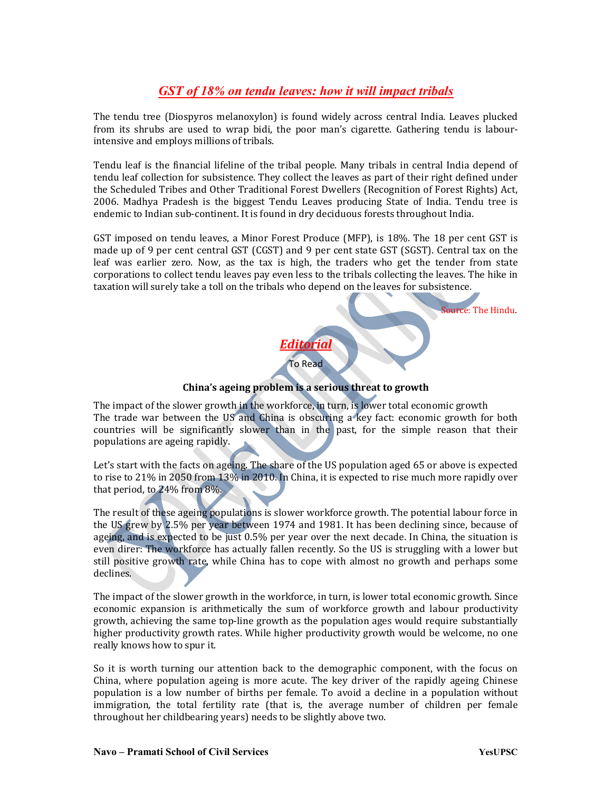# GST of 18% on tendu leaves: how it will impact tribals

The tendu tree (Diospyros melanoxylon) is found widely across central India. Leaves plucked from its shrubs are used to wrap bidi, the poor man's cigarette. Gathering tendu is labourintensive and employs millions of tribals.

Tendu leaf is the financial lifeline of the tribal people. Many tribals in central India depend of tendu leaf collection for subsistence. They collect the leaves as part of their right defined under the Scheduled Tribes and Other Traditional Forest Dwellers (Recognition of Forest Rights) Act, 2006. Madhya Pradesh is the biggest Tendu Leaves producing State of India. Tendu tree is endemic to Indian sub-continent. It is found in dry deciduous forests throughout India.

GST imposed on tendu leaves, a Minor Forest Produce (MFP), is 18%. The 18 per cent GST is made up of 9 per cent central GST (CGST) and 9 per cent state GST (SGST). Central tax on the leaf was earlier zero. Now, as the tax is high, the traders who get the tender from state corporations to collect tendu leaves pay even less to the tribals collecting the leaves. The hike in taxation will surely take a toll on the tribals who depend on the leaves for subsistence.

Source: The Hindu.

## China's ageing problem is a serious threat to growth

Editorial To Read

The impact of the slower growth in the workforce, in turn, is lower total economic growth The trade war between the US and China is obscuring a key fact: economic growth for both countries will be significantly slower than in the past, for the simple reason that their populations are ageing rapidly.

Let's start with the facts on ageing. The share of the US population aged 65 or above is expected to rise to 21% in 2050 from 13% in 2010. In China, it is expected to rise much more rapidly over that period, to 24% from 8%.

The result of these ageing populations is slower workforce growth. The potential labour force in the US grew by 2.5% per year between 1974 and 1981. It has been declining since, because of ageing, and is expected to be just 0.5% per year over the next decade. In China, the situation is even direr: The workforce has actually fallen recently. So the US is struggling with a lower but still positive growth rate, while China has to cope with almost no growth and perhaps some declines.

The impact of the slower growth in the workforce, in turn, is lower total economic growth. Since economic expansion is arithmetically the sum of workforce growth and labour productivity growth, achieving the same top-line growth as the population ages would require substantially higher productivity growth rates. While higher productivity growth would be welcome, no one really knows how to spur it.

So it is worth turning our attention back to the demographic component, with the focus on China, where population ageing is more acute. The key driver of the rapidly ageing Chinese population is a low number of births per female. To avoid a decline in a population without immigration, the total fertility rate (that is, the average number of children per female throughout her childbearing years) needs to be slightly above two.